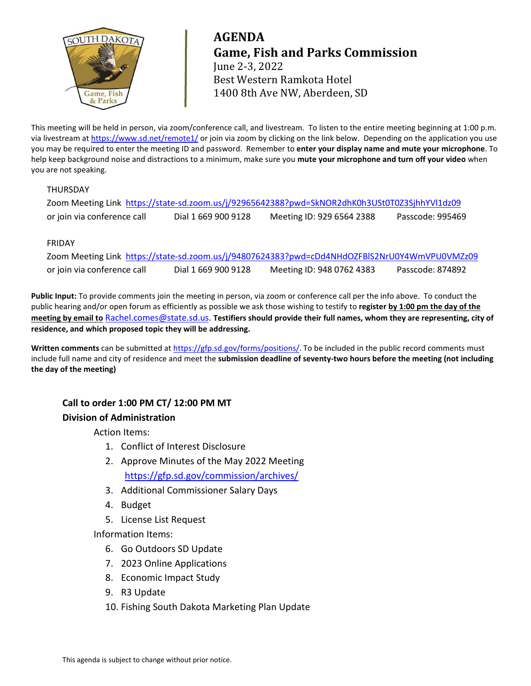

# **AGENDA Game, Fish and Parks Commission** June 2-3, 2022 Best Western Ramkota Hotel 1400 8th Ave NW, Aberdeen, SD

This meeting will be held in person, via zoom/conference call, and livestream. To listen to the entire meeting beginning at 1:00 p.m. via livestream at<https://www.sd.net/remote1/> or join via zoom by clicking on the link below. Depending on the application you use you may be required to enter the meeting ID and password. Remember to **enter your display name and mute your microphone**. To help keep background noise and distractions to a minimum, make sure you **mute your microphone and turn off your video** when you are not speaking.

## THURSDAY

|                             |                     | Zoom Meeting Link https://state-sd.zoom.us/j/92965642388?pwd=SkNOR2dhK0h3USt0T0Z3SjhhYVl1dz09 |                  |
|-----------------------------|---------------------|-----------------------------------------------------------------------------------------------|------------------|
| or join via conference call | Dial 1 669 900 9128 | Meeting ID: 929 6564 2388                                                                     | Passcode: 995469 |

## FRIDAY

Zoom Meeting Link <https://state-sd.zoom.us/j/94807624383?pwd=cDd4NHdOZFBlS2NrU0Y4WmVPU0VMZz09> or join via conference call Dial 1 669 900 9128 Meeting ID: 948 0762 4383 Passcode: 874892

**Public Input:** To provide comments join the meeting in person, via zoom or conference call per the info above. To conduct the public hearing and/or open forum as efficiently as possible we ask those wishing to testify to **register by 1:00 pm the day of the meeting by email to** [Rachel.comes@state.sd.us.](mailto:Rachel.comes@state.sd.us) **Testifiers should provide their full names, whom they are representing, city of residence, and which proposed topic they will be addressing.**

Written comments can be submitted at [https://gfp.sd.gov/forms/positions/.](https://gfp.sd.gov/forms/positions/) To be included in the public record comments must include full name and city of residence and meet the **submission deadline of seventy-two hours before the meeting (not including the day of the meeting)**

## **Call to order 1:00 PM CT/ 12:00 PM MT Division of Administration**

Action Items:

- 1. Conflict of Interest Disclosure
- 2. Approve Minutes of the May 2022 Meeting <https://gfp.sd.gov/commission/archives/>
- 3. Additional Commissioner Salary Days
- 4. Budget
- 5. License List Request

Information Items:

- 6. Go Outdoors SD Update
- 7. 2023 Online Applications
- 8. Economic Impact Study
- 9. R3 Update
- 10. Fishing South Dakota Marketing Plan Update